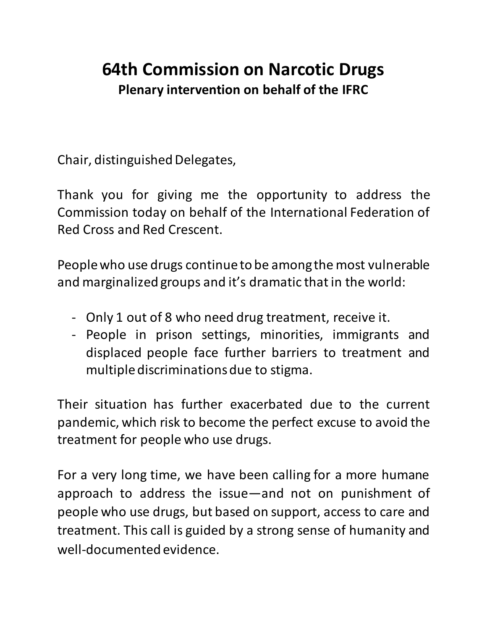## **64th Commission on Narcotic Drugs Plenary intervention on behalf of the IFRC**

Chair, distinguished Delegates,

Thank you for giving me the opportunity to address the Commission today on behalf of the International Federation of Red Cross and Red Crescent.

People who use drugs continue to be among the most vulnerable and marginalized groups and it's dramatic that in the world:

- Only 1 out of 8 who need drug treatment, receive it.
- People in prison settings, minorities, immigrants and displaced people face further barriers to treatment and multiple discriminations due to stigma.

Their situation has further exacerbated due to the current pandemic, which risk to become the perfect excuse to avoid the treatment for people who use drugs.

For a very long time, we have been calling for a more humane approach to address the issue—and not on punishment of people who use drugs, but based on support, access to care and treatment. This call is guided by a strong sense of humanity and well-documented evidence.